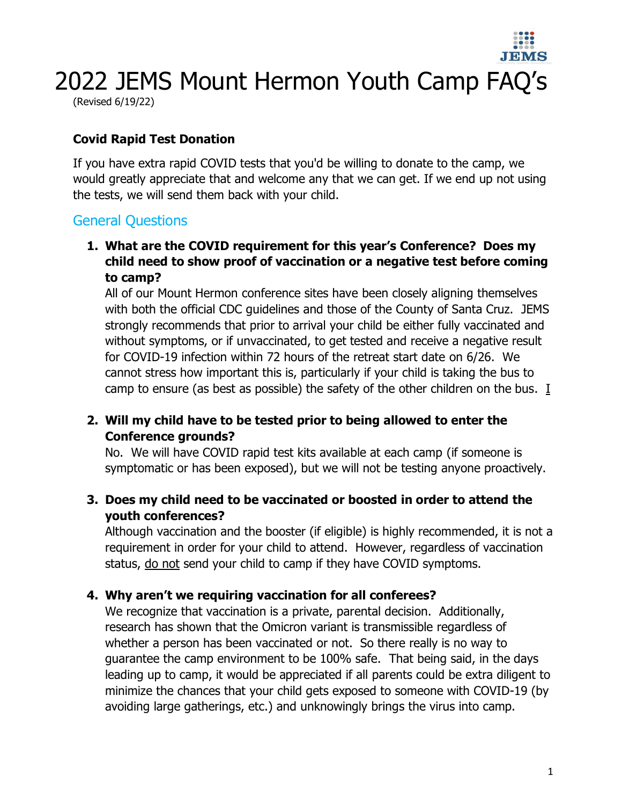

(Revised 6/19/22)

## **Covid Rapid Test Donation**

If you have extra rapid COVID tests that you'd be willing to donate to the camp, we would greatly appreciate that and welcome any that we can get. If we end up not using the tests, we will send them back with your child.

## General Questions

**1. What are the COVID requirement for this year's Conference? Does my child need to show proof of vaccination or a negative test before coming to camp?** 

All of our Mount Hermon conference sites have been closely aligning themselves with both the official CDC guidelines and those of the County of Santa Cruz. JEMS strongly recommends that prior to arrival your child be either fully vaccinated and without symptoms, or if unvaccinated, to get tested and receive a negative result for COVID-19 infection within 72 hours of the retreat start date on 6/26. We cannot stress how important this is, particularly if your child is taking the bus to camp to ensure (as best as possible) the safety of the other children on the bus. I

**2. Will my child have to be tested prior to being allowed to enter the Conference grounds?** 

No. We will have COVID rapid test kits available at each camp (if someone is symptomatic or has been exposed), but we will not be testing anyone proactively.

#### **3. Does my child need to be vaccinated or boosted in order to attend the youth conferences?**

Although vaccination and the booster (if eligible) is highly recommended, it is not a requirement in order for your child to attend. However, regardless of vaccination status, do not send your child to camp if they have COVID symptoms.

## **4. Why aren't we requiring vaccination for all conferees?**

We recognize that vaccination is a private, parental decision. Additionally, research has shown that the Omicron variant is transmissible regardless of whether a person has been vaccinated or not. So there really is no way to guarantee the camp environment to be 100% safe. That being said, in the days leading up to camp, it would be appreciated if all parents could be extra diligent to minimize the chances that your child gets exposed to someone with COVID-19 (by avoiding large gatherings, etc.) and unknowingly brings the virus into camp.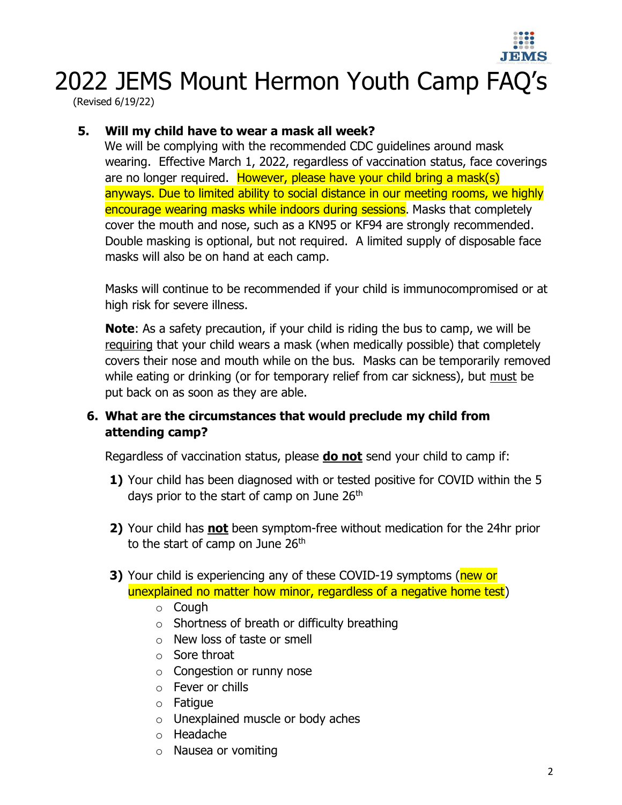

(Revised 6/19/22)

#### **5. Will my child have to wear a mask all week?**

We will be complying with the recommended CDC guidelines around mask wearing. Effective March 1, 2022, regardless of vaccination status, face coverings are no longer required. However, please have your child bring a mask(s) anyways. Due to limited ability to social distance in our meeting rooms, we highly encourage wearing masks while indoors during sessions. Masks that completely cover the mouth and nose, such as a KN95 or KF94 are strongly recommended. Double masking is optional, but not required. A limited supply of disposable face masks will also be on hand at each camp.

Masks will continue to be recommended if your child is immunocompromised or at high risk for severe illness.

**Note**: As a safety precaution, if your child is riding the bus to camp, we will be requiring that your child wears a mask (when medically possible) that completely covers their nose and mouth while on the bus. Masks can be temporarily removed while eating or drinking (or for temporary relief from car sickness), but must be put back on as soon as they are able.

## **6. What are the circumstances that would preclude my child from attending camp?**

Regardless of vaccination status, please **do not** send your child to camp if:

- **1)** Your child has been diagnosed with or tested positive for COVID within the 5 days prior to the start of camp on June  $26<sup>th</sup>$
- **2)** Your child has **not** been symptom-free without medication for the 24hr prior to the start of camp on June 26<sup>th</sup>
- **3)** Your child is experiencing any of these COVID-19 symptoms (new or unexplained no matter how minor, regardless of a negative home test)
	- o Cough
	- $\circ$  Shortness of breath or difficulty breathing
	- o New loss of taste or smell
	- o Sore throat
	- o Congestion or runny nose
	- o Fever or chills
	- o Fatigue
	- o Unexplained muscle or body aches
	- o Headache
	- o Nausea or vomiting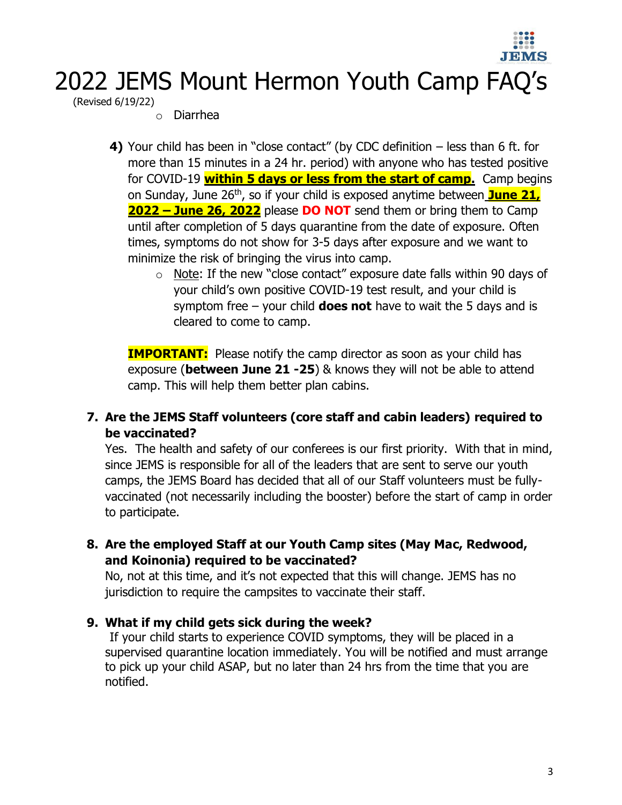

(Revised 6/19/22)

#### o Diarrhea

- **4)** Your child has been in "close contact" (by CDC definition less than 6 ft. for more than 15 minutes in a 24 hr. period) with anyone who has tested positive for COVID-19 **within 5 days or less from the start of camp.** Camp begins on Sunday, June 26th, so if your child is exposed anytime between **June 21, 2022 – June 26, 2022** please **DO NOT** send them or bring them to Camp until after completion of 5 days quarantine from the date of exposure. Often times, symptoms do not show for 3-5 days after exposure and we want to minimize the risk of bringing the virus into camp.
	- o Note: If the new "close contact" exposure date falls within 90 days of your child's own positive COVID-19 test result, and your child is symptom free – your child **does not** have to wait the 5 days and is cleared to come to camp.

**IMPORTANT:** Please notify the camp director as soon as your child has exposure (**between June 21 -25**) & knows they will not be able to attend camp. This will help them better plan cabins.

## **7. Are the JEMS Staff volunteers (core staff and cabin leaders) required to be vaccinated?**

Yes. The health and safety of our conferees is our first priority. With that in mind, since JEMS is responsible for all of the leaders that are sent to serve our youth camps, the JEMS Board has decided that all of our Staff volunteers must be fullyvaccinated (not necessarily including the booster) before the start of camp in order to participate.

**8. Are the employed Staff at our Youth Camp sites (May Mac, Redwood, and Koinonia) required to be vaccinated?** 

No, not at this time, and it's not expected that this will change. JEMS has no jurisdiction to require the campsites to vaccinate their staff.

#### **9. What if my child gets sick during the week?**

If your child starts to experience COVID symptoms, they will be placed in a supervised quarantine location immediately. You will be notified and must arrange to pick up your child ASAP, but no later than 24 hrs from the time that you are notified.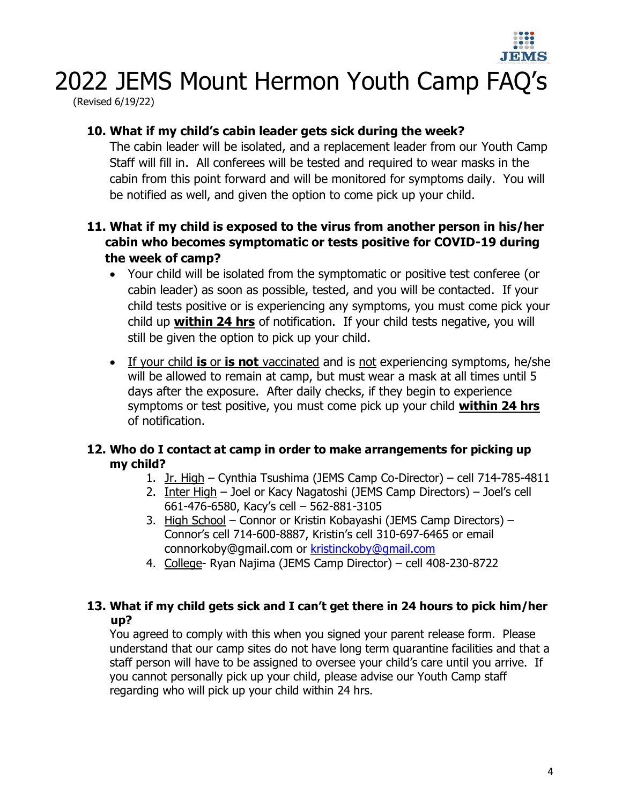

(Revised 6/19/22)

## **10. What if my child's cabin leader gets sick during the week?**

The cabin leader will be isolated, and a replacement leader from our Youth Camp Staff will fill in. All conferees will be tested and required to wear masks in the cabin from this point forward and will be monitored for symptoms daily. You will be notified as well, and given the option to come pick up your child.

## **11. What if my child is exposed to the virus from another person in his/her cabin who becomes symptomatic or tests positive for COVID-19 during the week of camp?**

- Your child will be isolated from the symptomatic or positive test conferee (or cabin leader) as soon as possible, tested, and you will be contacted. If your child tests positive or is experiencing any symptoms, you must come pick your child up **within 24 hrs** of notification. If your child tests negative, you will still be given the option to pick up your child.
- If your child **is** or **is not** vaccinated and is not experiencing symptoms, he/she will be allowed to remain at camp, but must wear a mask at all times until 5 days after the exposure. After daily checks, if they begin to experience symptoms or test positive, you must come pick up your child **within 24 hrs** of notification.

#### **12. Who do I contact at camp in order to make arrangements for picking up my child?**

- 1. Jr. High Cynthia Tsushima (JEMS Camp Co-Director) cell 714-785-4811
- 2. Inter High Joel or Kacy Nagatoshi (JEMS Camp Directors) Joel's cell 661-476-6580, Kacy's cell – 562-881-3105
- 3. High School Connor or Kristin Kobayashi (JEMS Camp Directors) Connor's cell 714-600-8887, Kristin's cell 310-697-6465 or email connorkoby@gmail.com or [kristinckoby@gmail.com](mailto:kristinckoby@gmail.com)
- 4. College- Ryan Najima (JEMS Camp Director) cell 408-230-8722

#### **13. What if my child gets sick and I can't get there in 24 hours to pick him/her up?**

You agreed to comply with this when you signed your parent release form. Please understand that our camp sites do not have long term quarantine facilities and that a staff person will have to be assigned to oversee your child's care until you arrive. If you cannot personally pick up your child, please advise our Youth Camp staff regarding who will pick up your child within 24 hrs.